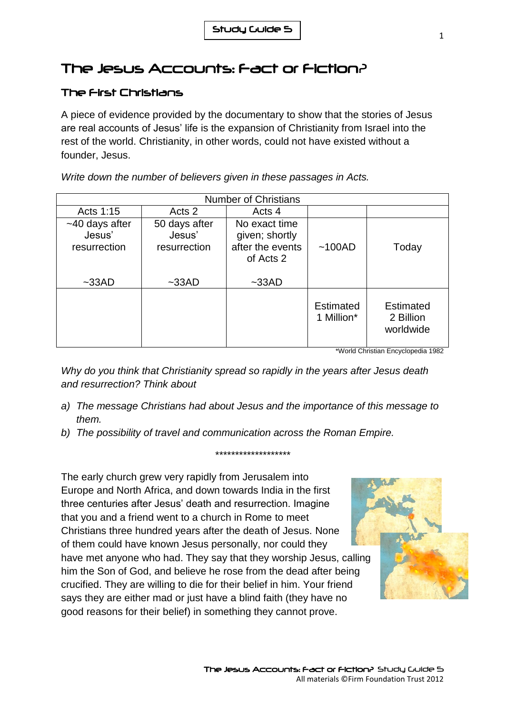## The Jesus Accounts: Fact or Fiction?

## The First Christians

A piece of evidence provided by the documentary to show that the stories of Jesus are real accounts of Jesus' life is the expansion of Christianity from Israel into the rest of the world. Christianity, in other words, could not have existed without a founder, Jesus.

*Write down the number of believers given in these passages in Acts.*

| <b>Number of Christians</b>                |                                         |                                                                  |                         |                                            |
|--------------------------------------------|-----------------------------------------|------------------------------------------------------------------|-------------------------|--------------------------------------------|
| Acts 1:15                                  | Acts 2                                  | Acts 4                                                           |                         |                                            |
| $~10$ days after<br>Jesus'<br>resurrection | 50 days after<br>Jesus'<br>resurrection | No exact time<br>given; shortly<br>after the events<br>of Acts 2 | ~100AD                  | Today                                      |
| $~\sim$ 33AD                               | $~-33AD$                                | $~-33AD$                                                         |                         |                                            |
|                                            |                                         |                                                                  | Estimated<br>1 Million* | <b>Estimated</b><br>2 Billion<br>worldwide |

\*World Christian Encyclopedia 1982

*Why do you think that Christianity spread so rapidly in the years after Jesus death and resurrection? Think about* 

*a) The message Christians had about Jesus and the importance of this message to them.*

*\*\*\*\*\*\*\*\*\*\*\*\*\*\*\*\*\*\*\**

*b) The possibility of travel and communication across the Roman Empire.*

The early church grew very rapidly from Jerusalem into Europe and North Africa, and down towards India in the first three centuries after Jesus' death and resurrection. Imagine that you and a friend went to a church in Rome to meet Christians three hundred years after the death of Jesus. None of them could have known Jesus personally, nor could they have met anyone who had. They say that they worship Jesus, calling him the Son of God, and believe he rose from the dead after being crucified. They are willing to die for their belief in him. Your friend says they are either mad or just have a blind faith (they have no good reasons for their belief) in something they cannot prove.